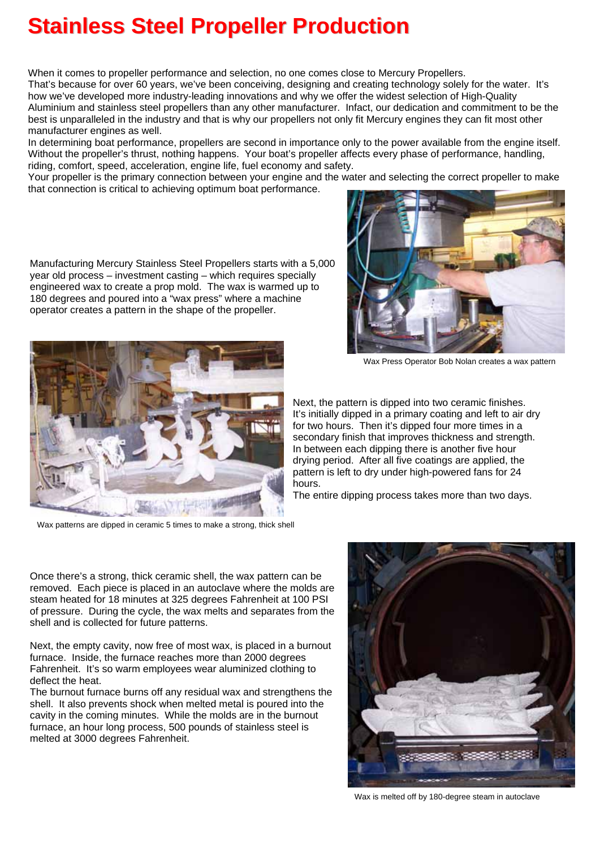## **Stainless Steel Propeller Production**

When it comes to propeller performance and selection, no one comes close to Mercury Propellers. That's because for over 60 years, we've been conceiving, designing and creating technology solely for the water. It's how we've developed more industry-leading innovations and why we offer the widest selection of High-Quality Aluminium and stainless steel propellers than any other manufacturer. Infact, our dedication and commitment to be the best is unparalleled in the industry and that is why our propellers not only fit Mercury engines they can fit most other manufacturer engines as well.

In determining boat performance, propellers are second in importance only to the power available from the engine itself. Without the propeller's thrust, nothing happens. Your boat's propeller affects every phase of performance, handling, riding, comfort, speed, acceleration, engine life, fuel economy and safety.

Your propeller is the primary connection between your engine and the water and selecting the correct propeller to make that connection is critical to achieving optimum boat performance.

Manufacturing Mercury Stainless Steel Propellers starts with a 5,000 year old process – investment casting – which requires specially engineered wax to create a prop mold. The wax is warmed up to 180 degrees and poured into a "wax press" where a machine operator creates a pattern in the shape of the propeller.



Wax Press Operator Bob Nolan creates a wax pattern



Wax patterns are dipped in ceramic 5 times to make a strong, thick shell

Next, the pattern is dipped into two ceramic finishes. It's initially dipped in a primary coating and left to air dry for two hours. Then it's dipped four more times in a secondary finish that improves thickness and strength. In between each dipping there is another five hour drying period. After all five coatings are applied, the pattern is left to dry under high-powered fans for 24 hours.

The entire dipping process takes more than two days.

Once there's a strong, thick ceramic shell, the wax pattern can be removed. Each piece is placed in an autoclave where the molds are steam heated for 18 minutes at 325 degrees Fahrenheit at 100 PSI of pressure. During the cycle, the wax melts and separates from the shell and is collected for future patterns.

Next, the empty cavity, now free of most wax, is placed in a burnout furnace. Inside, the furnace reaches more than 2000 degrees Fahrenheit. It's so warm employees wear aluminized clothing to deflect the heat.

The burnout furnace burns off any residual wax and strengthens the shell. It also prevents shock when melted metal is poured into the cavity in the coming minutes. While the molds are in the burnout furnace, an hour long process, 500 pounds of stainless steel is melted at 3000 degrees Fahrenheit.

![](_page_0_Picture_14.jpeg)

Wax is melted off by 180-degree steam in autoclave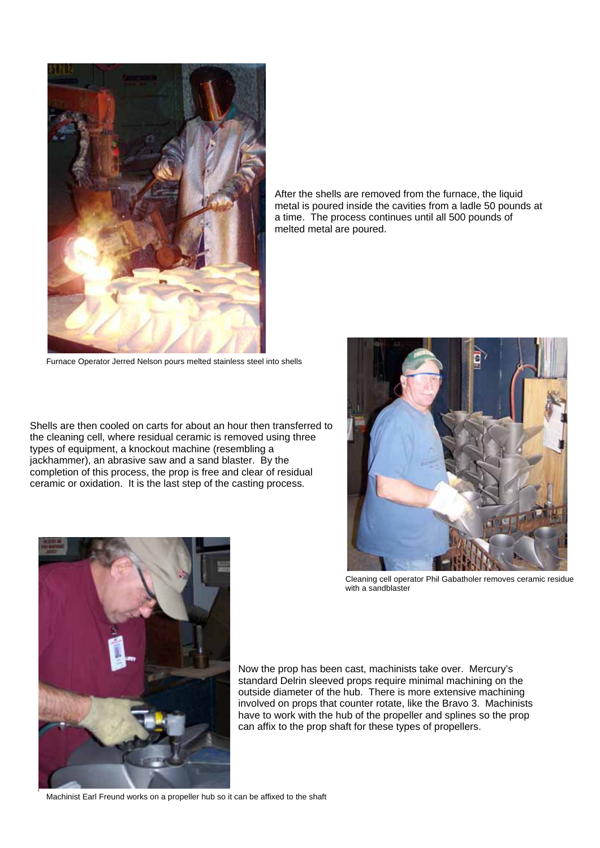![](_page_1_Picture_0.jpeg)

After the shells are removed from the furnace, the liquid metal is poured inside the cavities from a ladle 50 pounds at a time. The process continues until all 500 pounds of melted metal are poured.

Furnace Operator Jerred Nelson pours melted stainless steel into shells

Shells are then cooled on carts for about an hour then transferred to the cleaning cell, where residual ceramic is removed using three types of equipment, a knockout machine (resembling a jackhammer), an abrasive saw and a sand blaster. By the completion of this process, the prop is free and clear of residual ceramic or oxidation. It is the last step of the casting process.

![](_page_1_Picture_4.jpeg)

Cleaning cell operator Phil Gabatholer removes ceramic residue with a sandblaster

Now the prop has been cast, machinists take over. Mercury's standard Delrin sleeved props require minimal machining on the outside diameter of the hub. There is more extensive machining involved on props that counter rotate, like the Bravo 3. Machinists have to work with the hub of the propeller and splines so the prop can affix to the prop shaft for these types of propellers.

![](_page_1_Picture_7.jpeg)

Machinist Earl Freund works on a propeller hub so it can be affixed to the shaft